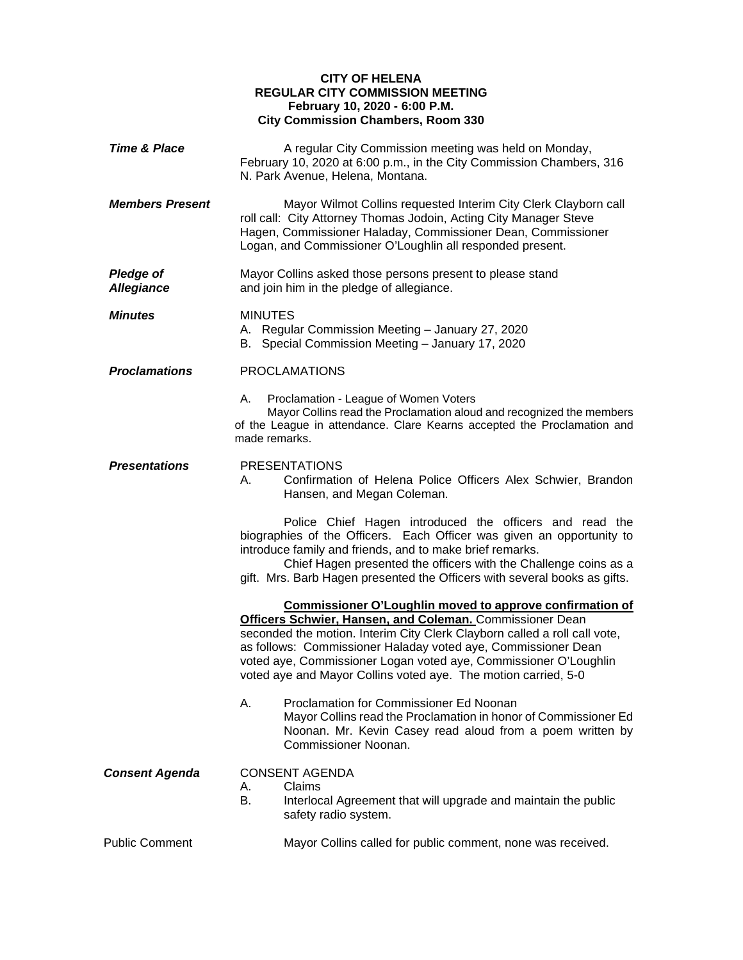## **CITY OF HELENA REGULAR CITY COMMISSION MEETING February 10, 2020 - 6:00 P.M. City Commission Chambers, Room 330**

| <b>Time &amp; Place</b>               | A regular City Commission meeting was held on Monday,<br>February 10, 2020 at 6:00 p.m., in the City Commission Chambers, 316<br>N. Park Avenue, Helena, Montana.                                                                                                                                                                                                                                               |
|---------------------------------------|-----------------------------------------------------------------------------------------------------------------------------------------------------------------------------------------------------------------------------------------------------------------------------------------------------------------------------------------------------------------------------------------------------------------|
| <b>Members Present</b>                | Mayor Wilmot Collins requested Interim City Clerk Clayborn call<br>roll call: City Attorney Thomas Jodoin, Acting City Manager Steve<br>Hagen, Commissioner Haladay, Commissioner Dean, Commissioner<br>Logan, and Commissioner O'Loughlin all responded present.                                                                                                                                               |
| <b>Pledge of</b><br><b>Allegiance</b> | Mayor Collins asked those persons present to please stand<br>and join him in the pledge of allegiance.                                                                                                                                                                                                                                                                                                          |
| <b>Minutes</b>                        | <b>MINUTES</b><br>A. Regular Commission Meeting - January 27, 2020<br>B. Special Commission Meeting - January 17, 2020                                                                                                                                                                                                                                                                                          |
| <b>Proclamations</b>                  | <b>PROCLAMATIONS</b>                                                                                                                                                                                                                                                                                                                                                                                            |
|                                       | Proclamation - League of Women Voters<br>А.<br>Mayor Collins read the Proclamation aloud and recognized the members<br>of the League in attendance. Clare Kearns accepted the Proclamation and<br>made remarks.                                                                                                                                                                                                 |
| <b>Presentations</b>                  | <b>PRESENTATIONS</b><br>Confirmation of Helena Police Officers Alex Schwier, Brandon<br>А.<br>Hansen, and Megan Coleman.                                                                                                                                                                                                                                                                                        |
|                                       | Police Chief Hagen introduced the officers and read the<br>biographies of the Officers. Each Officer was given an opportunity to<br>introduce family and friends, and to make brief remarks.<br>Chief Hagen presented the officers with the Challenge coins as a<br>gift. Mrs. Barb Hagen presented the Officers with several books as gifts.                                                                   |
|                                       | <b>Commissioner O'Loughlin moved to approve confirmation of</b><br>Officers Schwier, Hansen, and Coleman. Commissioner Dean<br>seconded the motion. Interim City Clerk Clayborn called a roll call vote,<br>as follows: Commissioner Haladay voted aye, Commissioner Dean<br>voted aye, Commissioner Logan voted aye, Commissioner O'Loughlin<br>voted aye and Mayor Collins voted aye. The motion carried, 5-0 |
|                                       | А.<br>Proclamation for Commissioner Ed Noonan<br>Mayor Collins read the Proclamation in honor of Commissioner Ed<br>Noonan. Mr. Kevin Casey read aloud from a poem written by<br>Commissioner Noonan.                                                                                                                                                                                                           |
| <b>Consent Agenda</b>                 | <b>CONSENT AGENDA</b><br>Claims<br>А.<br>В.<br>Interlocal Agreement that will upgrade and maintain the public<br>safety radio system.                                                                                                                                                                                                                                                                           |
| <b>Public Comment</b>                 | Mayor Collins called for public comment, none was received.                                                                                                                                                                                                                                                                                                                                                     |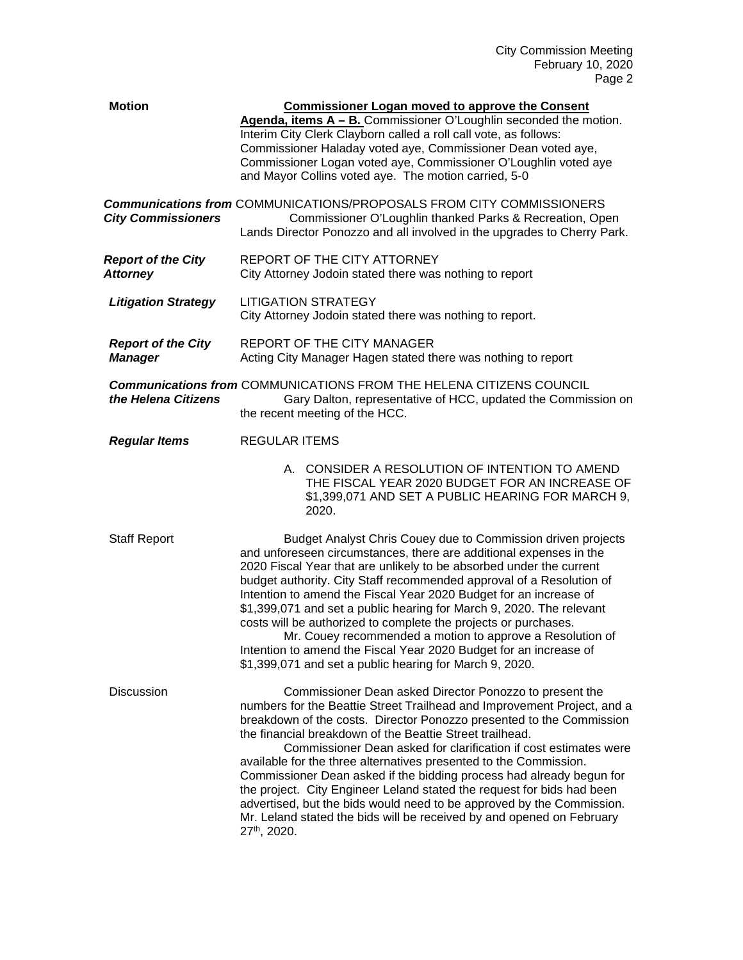| <b>Motion</b>                                | <b>Commissioner Logan moved to approve the Consent</b><br>Agenda, items A - B. Commissioner O'Loughlin seconded the motion.<br>Interim City Clerk Clayborn called a roll call vote, as follows:<br>Commissioner Haladay voted aye, Commissioner Dean voted aye,<br>Commissioner Logan voted aye, Commissioner O'Loughlin voted aye<br>and Mayor Collins voted aye. The motion carried, 5-0                                                                                                                                                                                                                                                                                                                                         |
|----------------------------------------------|------------------------------------------------------------------------------------------------------------------------------------------------------------------------------------------------------------------------------------------------------------------------------------------------------------------------------------------------------------------------------------------------------------------------------------------------------------------------------------------------------------------------------------------------------------------------------------------------------------------------------------------------------------------------------------------------------------------------------------|
| <b>City Commissioners</b>                    | <b>Communications from COMMUNICATIONS/PROPOSALS FROM CITY COMMISSIONERS</b><br>Commissioner O'Loughlin thanked Parks & Recreation, Open<br>Lands Director Ponozzo and all involved in the upgrades to Cherry Park.                                                                                                                                                                                                                                                                                                                                                                                                                                                                                                                 |
| <b>Report of the City</b><br><b>Attorney</b> | REPORT OF THE CITY ATTORNEY<br>City Attorney Jodoin stated there was nothing to report                                                                                                                                                                                                                                                                                                                                                                                                                                                                                                                                                                                                                                             |
| <b>Litigation Strategy</b>                   | <b>LITIGATION STRATEGY</b><br>City Attorney Jodoin stated there was nothing to report.                                                                                                                                                                                                                                                                                                                                                                                                                                                                                                                                                                                                                                             |
| <b>Report of the City</b><br><b>Manager</b>  | REPORT OF THE CITY MANAGER<br>Acting City Manager Hagen stated there was nothing to report                                                                                                                                                                                                                                                                                                                                                                                                                                                                                                                                                                                                                                         |
| the Helena Citizens                          | <b>Communications from COMMUNICATIONS FROM THE HELENA CITIZENS COUNCIL</b><br>Gary Dalton, representative of HCC, updated the Commission on<br>the recent meeting of the HCC.                                                                                                                                                                                                                                                                                                                                                                                                                                                                                                                                                      |
| <b>Regular Items</b>                         | <b>REGULAR ITEMS</b>                                                                                                                                                                                                                                                                                                                                                                                                                                                                                                                                                                                                                                                                                                               |
|                                              | A. CONSIDER A RESOLUTION OF INTENTION TO AMEND<br>THE FISCAL YEAR 2020 BUDGET FOR AN INCREASE OF<br>\$1,399,071 AND SET A PUBLIC HEARING FOR MARCH 9,<br>2020.                                                                                                                                                                                                                                                                                                                                                                                                                                                                                                                                                                     |
| <b>Staff Report</b>                          | Budget Analyst Chris Couey due to Commission driven projects<br>and unforeseen circumstances, there are additional expenses in the<br>2020 Fiscal Year that are unlikely to be absorbed under the current<br>budget authority. City Staff recommended approval of a Resolution of<br>Intention to amend the Fiscal Year 2020 Budget for an increase of<br>\$1,399,071 and set a public hearing for March 9, 2020. The relevant<br>costs will be authorized to complete the projects or purchases.<br>Mr. Couey recommended a motion to approve a Resolution of<br>Intention to amend the Fiscal Year 2020 Budget for an increase of<br>\$1,399,071 and set a public hearing for March 9, 2020.                                     |
| Discussion                                   | Commissioner Dean asked Director Ponozzo to present the<br>numbers for the Beattie Street Trailhead and Improvement Project, and a<br>breakdown of the costs. Director Ponozzo presented to the Commission<br>the financial breakdown of the Beattie Street trailhead.<br>Commissioner Dean asked for clarification if cost estimates were<br>available for the three alternatives presented to the Commission.<br>Commissioner Dean asked if the bidding process had already begun for<br>the project. City Engineer Leland stated the request for bids had been<br>advertised, but the bids would need to be approved by the Commission.<br>Mr. Leland stated the bids will be received by and opened on February<br>27th, 2020. |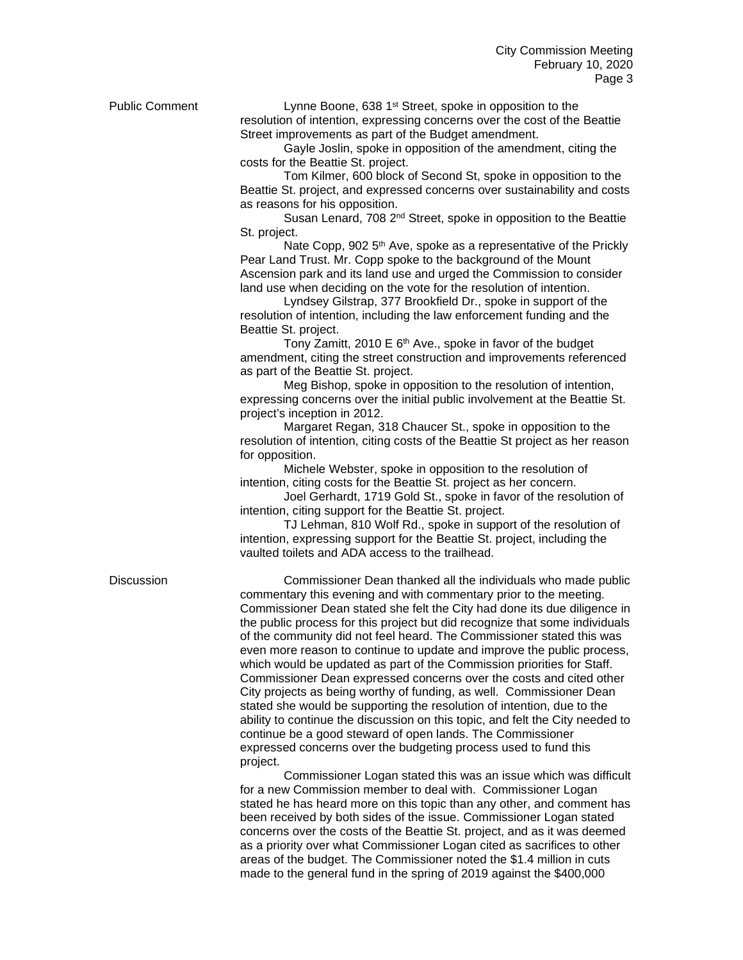Public Comment Lynne Boone, 638 1<sup>st</sup> Street, spoke in opposition to the resolution of intention, expressing concerns over the cost of the Beattie Street improvements as part of the Budget amendment.

> Gayle Joslin, spoke in opposition of the amendment, citing the costs for the Beattie St. project.

Tom Kilmer, 600 block of Second St, spoke in opposition to the Beattie St. project, and expressed concerns over sustainability and costs as reasons for his opposition.

Susan Lenard, 708 2<sup>nd</sup> Street, spoke in opposition to the Beattie St. project.

Nate Copp, 902 5<sup>th</sup> Ave, spoke as a representative of the Prickly Pear Land Trust. Mr. Copp spoke to the background of the Mount Ascension park and its land use and urged the Commission to consider land use when deciding on the vote for the resolution of intention.

Lyndsey Gilstrap, 377 Brookfield Dr., spoke in support of the resolution of intention, including the law enforcement funding and the Beattie St. project.

Tony Zamitt, 2010 E 6<sup>th</sup> Ave., spoke in favor of the budget amendment, citing the street construction and improvements referenced as part of the Beattie St. project.

Meg Bishop, spoke in opposition to the resolution of intention, expressing concerns over the initial public involvement at the Beattie St. project's inception in 2012.

Margaret Regan, 318 Chaucer St., spoke in opposition to the resolution of intention, citing costs of the Beattie St project as her reason for opposition.

Michele Webster, spoke in opposition to the resolution of intention, citing costs for the Beattie St. project as her concern.

Joel Gerhardt, 1719 Gold St., spoke in favor of the resolution of intention, citing support for the Beattie St. project.

TJ Lehman, 810 Wolf Rd., spoke in support of the resolution of intention, expressing support for the Beattie St. project, including the vaulted toilets and ADA access to the trailhead.

Discussion Commissioner Dean thanked all the individuals who made public commentary this evening and with commentary prior to the meeting. Commissioner Dean stated she felt the City had done its due diligence in the public process for this project but did recognize that some individuals of the community did not feel heard. The Commissioner stated this was even more reason to continue to update and improve the public process, which would be updated as part of the Commission priorities for Staff. Commissioner Dean expressed concerns over the costs and cited other City projects as being worthy of funding, as well. Commissioner Dean stated she would be supporting the resolution of intention, due to the ability to continue the discussion on this topic, and felt the City needed to continue be a good steward of open lands. The Commissioner expressed concerns over the budgeting process used to fund this project.

> Commissioner Logan stated this was an issue which was difficult for a new Commission member to deal with. Commissioner Logan stated he has heard more on this topic than any other, and comment has been received by both sides of the issue. Commissioner Logan stated concerns over the costs of the Beattie St. project, and as it was deemed as a priority over what Commissioner Logan cited as sacrifices to other areas of the budget. The Commissioner noted the \$1.4 million in cuts made to the general fund in the spring of 2019 against the \$400,000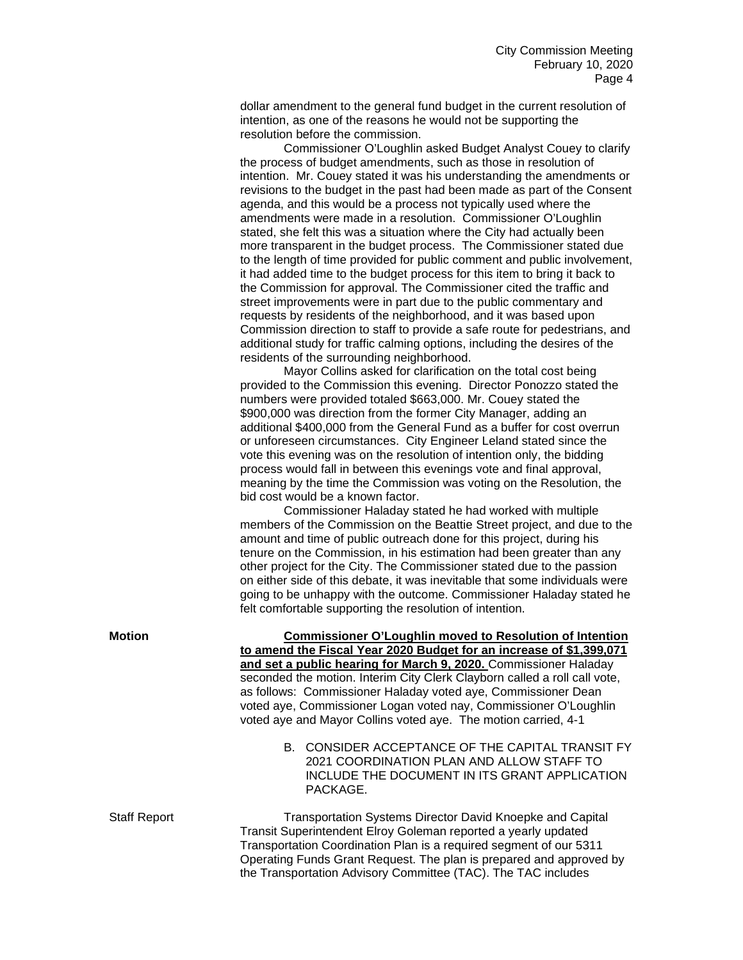dollar amendment to the general fund budget in the current resolution of intention, as one of the reasons he would not be supporting the resolution before the commission.

Commissioner O'Loughlin asked Budget Analyst Couey to clarify the process of budget amendments, such as those in resolution of intention. Mr. Couey stated it was his understanding the amendments or revisions to the budget in the past had been made as part of the Consent agenda, and this would be a process not typically used where the amendments were made in a resolution. Commissioner O'Loughlin stated, she felt this was a situation where the City had actually been more transparent in the budget process. The Commissioner stated due to the length of time provided for public comment and public involvement, it had added time to the budget process for this item to bring it back to the Commission for approval. The Commissioner cited the traffic and street improvements were in part due to the public commentary and requests by residents of the neighborhood, and it was based upon Commission direction to staff to provide a safe route for pedestrians, and additional study for traffic calming options, including the desires of the residents of the surrounding neighborhood.

Mayor Collins asked for clarification on the total cost being provided to the Commission this evening. Director Ponozzo stated the numbers were provided totaled \$663,000. Mr. Couey stated the \$900,000 was direction from the former City Manager, adding an additional \$400,000 from the General Fund as a buffer for cost overrun or unforeseen circumstances. City Engineer Leland stated since the vote this evening was on the resolution of intention only, the bidding process would fall in between this evenings vote and final approval, meaning by the time the Commission was voting on the Resolution, the bid cost would be a known factor.

Commissioner Haladay stated he had worked with multiple members of the Commission on the Beattie Street project, and due to the amount and time of public outreach done for this project, during his tenure on the Commission, in his estimation had been greater than any other project for the City. The Commissioner stated due to the passion on either side of this debate, it was inevitable that some individuals were going to be unhappy with the outcome. Commissioner Haladay stated he felt comfortable supporting the resolution of intention.

**Motion Commissioner O'Loughlin moved to Resolution of Intention to amend the Fiscal Year 2020 Budget for an increase of \$1,399,071 and set a public hearing for March 9, 2020.** Commissioner Haladay seconded the motion. Interim City Clerk Clayborn called a roll call vote, as follows: Commissioner Haladay voted aye, Commissioner Dean voted aye, Commissioner Logan voted nay, Commissioner O'Loughlin voted aye and Mayor Collins voted aye. The motion carried, 4-1

> B. CONSIDER ACCEPTANCE OF THE CAPITAL TRANSIT FY 2021 COORDINATION PLAN AND ALLOW STAFF TO INCLUDE THE DOCUMENT IN ITS GRANT APPLICATION PACKAGE.

Staff Report Transportation Systems Director David Knoepke and Capital Transit Superintendent Elroy Goleman reported a yearly updated Transportation Coordination Plan is a required segment of our 5311 Operating Funds Grant Request. The plan is prepared and approved by the Transportation Advisory Committee (TAC). The TAC includes

| Motion |  |
|--------|--|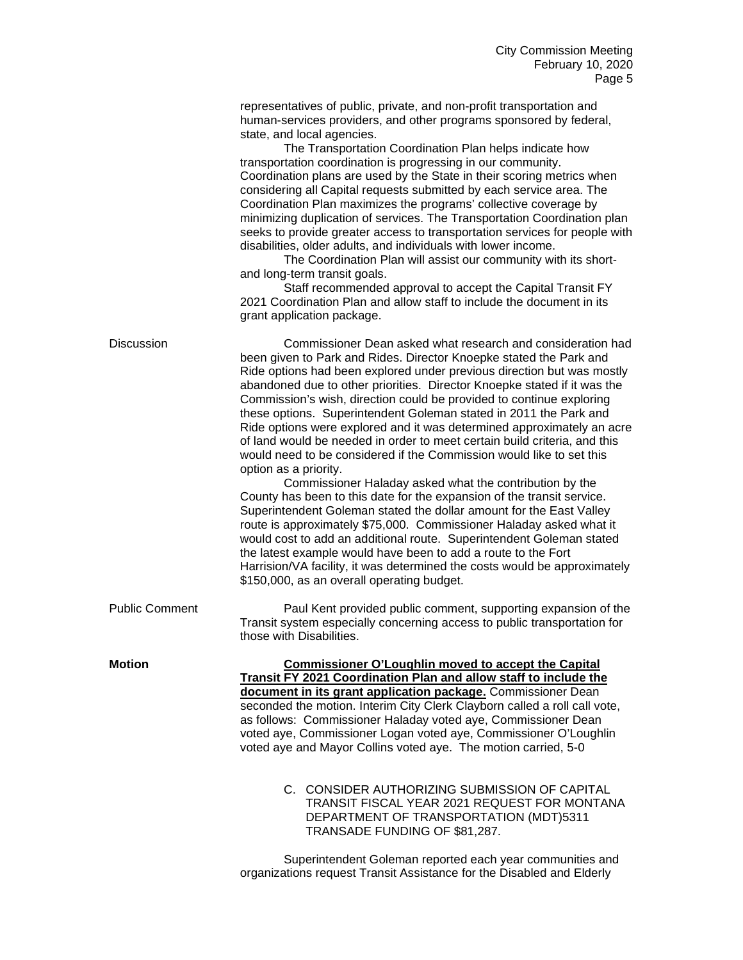representatives of public, private, and non-profit transportation and human-services providers, and other programs sponsored by federal, state, and local agencies.

The Transportation Coordination Plan helps indicate how transportation coordination is progressing in our community. Coordination plans are used by the State in their scoring metrics when considering all Capital requests submitted by each service area. The Coordination Plan maximizes the programs' collective coverage by minimizing duplication of services. The Transportation Coordination plan seeks to provide greater access to transportation services for people with disabilities, older adults, and individuals with lower income.

The Coordination Plan will assist our community with its shortand long-term transit goals.

Staff recommended approval to accept the Capital Transit FY 2021 Coordination Plan and allow staff to include the document in its grant application package.

| <b>Discussion</b>     | Commissioner Dean asked what research and consideration had<br>been given to Park and Rides. Director Knoepke stated the Park and<br>Ride options had been explored under previous direction but was mostly<br>abandoned due to other priorities. Director Knoepke stated if it was the<br>Commission's wish, direction could be provided to continue exploring<br>these options. Superintendent Goleman stated in 2011 the Park and<br>Ride options were explored and it was determined approximately an acre<br>of land would be needed in order to meet certain build criteria, and this<br>would need to be considered if the Commission would like to set this<br>option as a priority.<br>Commissioner Haladay asked what the contribution by the<br>County has been to this date for the expansion of the transit service.<br>Superintendent Goleman stated the dollar amount for the East Valley<br>route is approximately \$75,000. Commissioner Haladay asked what it<br>would cost to add an additional route. Superintendent Goleman stated<br>the latest example would have been to add a route to the Fort<br>Harrision/VA facility, it was determined the costs would be approximately<br>\$150,000, as an overall operating budget. |
|-----------------------|-----------------------------------------------------------------------------------------------------------------------------------------------------------------------------------------------------------------------------------------------------------------------------------------------------------------------------------------------------------------------------------------------------------------------------------------------------------------------------------------------------------------------------------------------------------------------------------------------------------------------------------------------------------------------------------------------------------------------------------------------------------------------------------------------------------------------------------------------------------------------------------------------------------------------------------------------------------------------------------------------------------------------------------------------------------------------------------------------------------------------------------------------------------------------------------------------------------------------------------------------------|
| <b>Public Comment</b> | Paul Kent provided public comment, supporting expansion of the<br>Transit system especially concerning access to public transportation for<br>those with Disabilities.                                                                                                                                                                                                                                                                                                                                                                                                                                                                                                                                                                                                                                                                                                                                                                                                                                                                                                                                                                                                                                                                              |
| <b>Motion</b>         | <b>Commissioner O'Loughlin moved to accept the Capital</b><br>Transit FY 2021 Coordination Plan and allow staff to include the<br>document in its grant application package. Commissioner Dean<br>seconded the motion. Interim City Clerk Clayborn called a roll call vote,<br>as follows: Commissioner Haladay voted aye, Commissioner Dean<br>voted aye, Commissioner Logan voted aye, Commissioner O'Loughlin<br>voted aye and Mayor Collins voted aye. The motion carried, 5-0<br>C. CONSIDER AUTHORIZING SUBMISSION OF CAPITAL<br>TRANSIT FISCAL YEAR 2021 REQUEST FOR MONTANA<br>DEPARTMENT OF TRANSPORTATION (MDT)5311<br>TRANSADE FUNDING OF \$81,287.                                                                                                                                                                                                                                                                                                                                                                                                                                                                                                                                                                                      |
|                       | Oungsintendent Onlamen senested each user communities and                                                                                                                                                                                                                                                                                                                                                                                                                                                                                                                                                                                                                                                                                                                                                                                                                                                                                                                                                                                                                                                                                                                                                                                           |

Superintendent Goleman reported each year communities and organizations request Transit Assistance for the Disabled and Elderly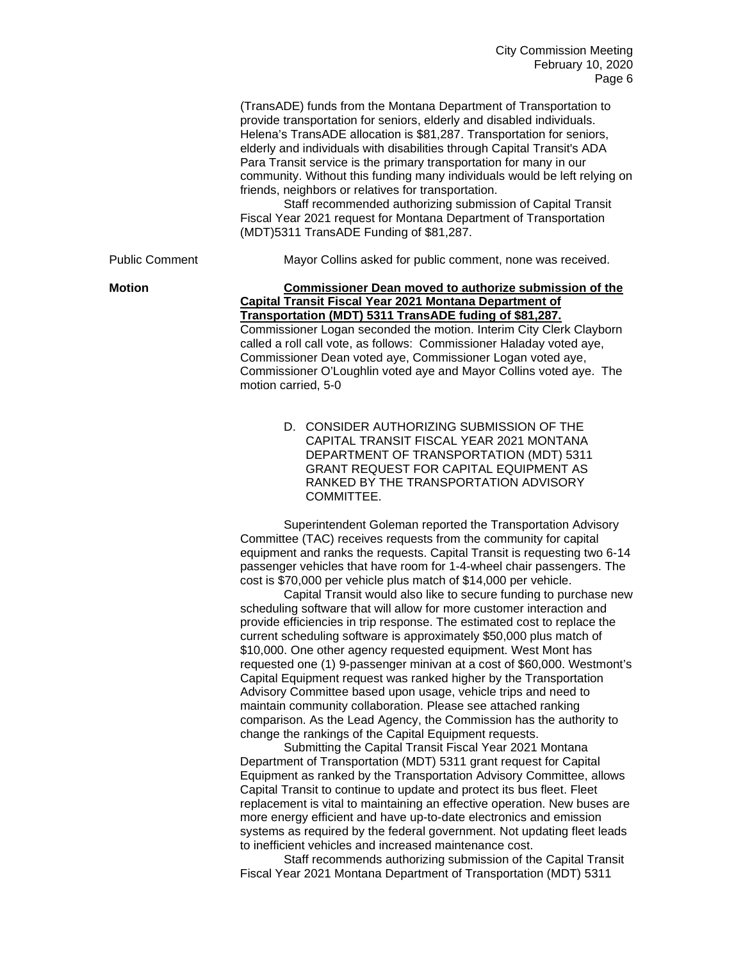|                       | (TransADE) funds from the Montana Department of Transportation to<br>provide transportation for seniors, elderly and disabled individuals.<br>Helena's TransADE allocation is \$81,287. Transportation for seniors,<br>elderly and individuals with disabilities through Capital Transit's ADA<br>Para Transit service is the primary transportation for many in our<br>community. Without this funding many individuals would be left relying on<br>friends, neighbors or relatives for transportation.<br>Staff recommended authorizing submission of Capital Transit<br>Fiscal Year 2021 request for Montana Department of Transportation<br>(MDT)5311 TransADE Funding of \$81,287. |
|-----------------------|-----------------------------------------------------------------------------------------------------------------------------------------------------------------------------------------------------------------------------------------------------------------------------------------------------------------------------------------------------------------------------------------------------------------------------------------------------------------------------------------------------------------------------------------------------------------------------------------------------------------------------------------------------------------------------------------|
| <b>Public Comment</b> | Mayor Collins asked for public comment, none was received.                                                                                                                                                                                                                                                                                                                                                                                                                                                                                                                                                                                                                              |
| <b>Motion</b>         | Commissioner Dean moved to authorize submission of the<br>Capital Transit Fiscal Year 2021 Montana Department of<br>Transportation (MDT) 5311 TransADE fuding of \$81,287.<br>Commissioner Logan seconded the motion. Interim City Clerk Clayborn<br>called a roll call vote, as follows: Commissioner Haladay voted aye,<br>Commissioner Dean voted aye, Commissioner Logan voted aye,<br>Commissioner O'Loughlin voted aye and Mayor Collins voted aye. The<br>motion carried, 5-0                                                                                                                                                                                                    |

D. CONSIDER AUTHORIZING SUBMISSION OF THE CAPITAL TRANSIT FISCAL YEAR 2021 MONTANA DEPARTMENT OF TRANSPORTATION (MDT) 5311 GRANT REQUEST FOR CAPITAL EQUIPMENT AS RANKED BY THE TRANSPORTATION ADVISORY COMMITTEE.

Superintendent Goleman reported the Transportation Advisory Committee (TAC) receives requests from the community for capital equipment and ranks the requests. Capital Transit is requesting two 6-14 passenger vehicles that have room for 1-4-wheel chair passengers. The cost is \$70,000 per vehicle plus match of \$14,000 per vehicle.

Capital Transit would also like to secure funding to purchase new scheduling software that will allow for more customer interaction and provide efficiencies in trip response. The estimated cost to replace the current scheduling software is approximately \$50,000 plus match of \$10,000. One other agency requested equipment. West Mont has requested one (1) 9-passenger minivan at a cost of \$60,000. Westmont's Capital Equipment request was ranked higher by the Transportation Advisory Committee based upon usage, vehicle trips and need to maintain community collaboration. Please see attached ranking comparison. As the Lead Agency, the Commission has the authority to change the rankings of the Capital Equipment requests.

Submitting the Capital Transit Fiscal Year 2021 Montana Department of Transportation (MDT) 5311 grant request for Capital Equipment as ranked by the Transportation Advisory Committee, allows Capital Transit to continue to update and protect its bus fleet. Fleet replacement is vital to maintaining an effective operation. New buses are more energy efficient and have up-to-date electronics and emission systems as required by the federal government. Not updating fleet leads to inefficient vehicles and increased maintenance cost.

Staff recommends authorizing submission of the Capital Transit Fiscal Year 2021 Montana Department of Transportation (MDT) 5311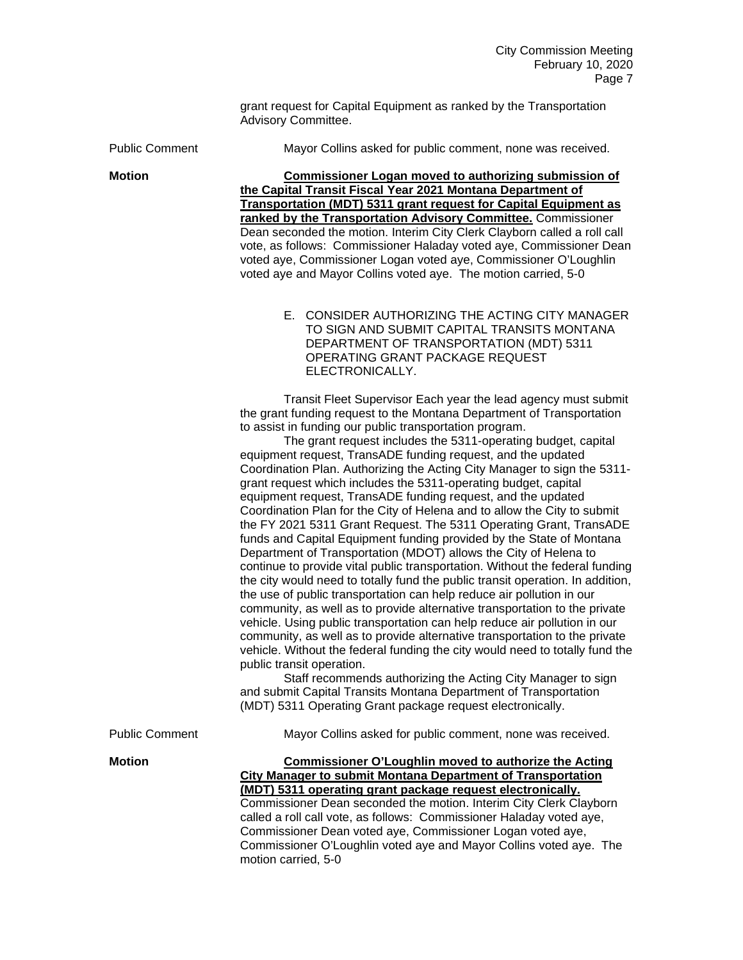grant request for Capital Equipment as ranked by the Transportation Advisory Committee.

Public Comment Mayor Collins asked for public comment, none was received.

**Motion Commissioner Logan moved to authorizing submission of the Capital Transit Fiscal Year 2021 Montana Department of Transportation (MDT) 5311 grant request for Capital Equipment as ranked by the Transportation Advisory Committee.** Commissioner Dean seconded the motion. Interim City Clerk Clayborn called a roll call vote, as follows: Commissioner Haladay voted aye, Commissioner Dean voted aye, Commissioner Logan voted aye, Commissioner O'Loughlin voted aye and Mayor Collins voted aye. The motion carried, 5-0

> E. CONSIDER AUTHORIZING THE ACTING CITY MANAGER TO SIGN AND SUBMIT CAPITAL TRANSITS MONTANA DEPARTMENT OF TRANSPORTATION (MDT) 5311 OPERATING GRANT PACKAGE REQUEST ELECTRONICALLY.

Transit Fleet Supervisor Each year the lead agency must submit the grant funding request to the Montana Department of Transportation to assist in funding our public transportation program.

The grant request includes the 5311-operating budget, capital equipment request, TransADE funding request, and the updated Coordination Plan. Authorizing the Acting City Manager to sign the 5311 grant request which includes the 5311-operating budget, capital equipment request, TransADE funding request, and the updated Coordination Plan for the City of Helena and to allow the City to submit the FY 2021 5311 Grant Request. The 5311 Operating Grant, TransADE funds and Capital Equipment funding provided by the State of Montana Department of Transportation (MDOT) allows the City of Helena to continue to provide vital public transportation. Without the federal funding the city would need to totally fund the public transit operation. In addition, the use of public transportation can help reduce air pollution in our community, as well as to provide alternative transportation to the private vehicle. Using public transportation can help reduce air pollution in our community, as well as to provide alternative transportation to the private vehicle. Without the federal funding the city would need to totally fund the public transit operation.

Staff recommends authorizing the Acting City Manager to sign ansportation<br>nically. (MDT) 5311 Operating Grant package request electronically.

|                       | and submit Capital Transits Montana Department of Transportation<br>(MDT) 5311 Operating Grant package request electronically.                                                                                                                                                                                                 |
|-----------------------|--------------------------------------------------------------------------------------------------------------------------------------------------------------------------------------------------------------------------------------------------------------------------------------------------------------------------------|
| <b>Public Comment</b> | Mayor Collins asked for public comment, none was received.                                                                                                                                                                                                                                                                     |
| <b>Motion</b>         | Commissioner O'Loughlin moved to authorize the Acting<br>City Manager to submit Montana Department of Transportation<br>(MDT) 5311 operating grant package request electronically.<br>Commissioner Dean seconded the motion. Interim City Clerk Clayborn<br>olled a rell pell veta de fellower. Commissioner Heledey vetad ave |

**(MDD)** onically. Glerk Clayborn called a roll call vote, as follows: Commissioner Haladay voted aye, Commissioner Dean voted aye, Commissioner Logan voted aye, Commissioner O'Loughlin voted aye and Mayor Collins voted aye. The motion carried, 5-0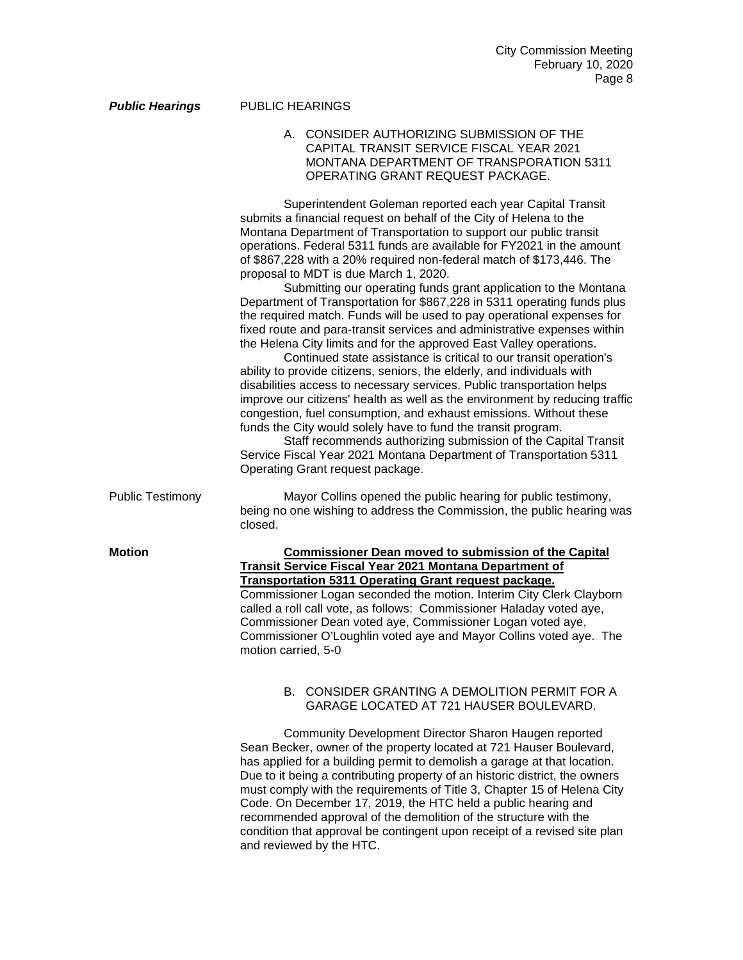|                         | A. CONSIDER AUTHORIZING SUBMISSION OF THE<br>CAPITAL TRANSIT SERVICE FISCAL YEAR 2021<br>MONTANA DEPARTMENT OF TRANSPORATION 5311<br>OPERATING GRANT REQUEST PACKAGE.                                                                                                                                                                                                                                                                                                                                                                                                                                                                                                                                                                                                                                                                                                                                                                                                                                                                                                                                                                                                                                                                                                                                                                                                                                  |
|-------------------------|--------------------------------------------------------------------------------------------------------------------------------------------------------------------------------------------------------------------------------------------------------------------------------------------------------------------------------------------------------------------------------------------------------------------------------------------------------------------------------------------------------------------------------------------------------------------------------------------------------------------------------------------------------------------------------------------------------------------------------------------------------------------------------------------------------------------------------------------------------------------------------------------------------------------------------------------------------------------------------------------------------------------------------------------------------------------------------------------------------------------------------------------------------------------------------------------------------------------------------------------------------------------------------------------------------------------------------------------------------------------------------------------------------|
|                         | Superintendent Goleman reported each year Capital Transit<br>submits a financial request on behalf of the City of Helena to the<br>Montana Department of Transportation to support our public transit<br>operations. Federal 5311 funds are available for FY2021 in the amount<br>of \$867,228 with a 20% required non-federal match of \$173,446. The<br>proposal to MDT is due March 1, 2020.<br>Submitting our operating funds grant application to the Montana<br>Department of Transportation for \$867,228 in 5311 operating funds plus<br>the required match. Funds will be used to pay operational expenses for<br>fixed route and para-transit services and administrative expenses within<br>the Helena City limits and for the approved East Valley operations.<br>Continued state assistance is critical to our transit operation's<br>ability to provide citizens, seniors, the elderly, and individuals with<br>disabilities access to necessary services. Public transportation helps<br>improve our citizens' health as well as the environment by reducing traffic<br>congestion, fuel consumption, and exhaust emissions. Without these<br>funds the City would solely have to fund the transit program.<br>Staff recommends authorizing submission of the Capital Transit<br>Service Fiscal Year 2021 Montana Department of Transportation 5311<br>Operating Grant request package. |
| <b>Public Testimony</b> | Mayor Collins opened the public hearing for public testimony,<br>being no one wishing to address the Commission, the public hearing was<br>closed.                                                                                                                                                                                                                                                                                                                                                                                                                                                                                                                                                                                                                                                                                                                                                                                                                                                                                                                                                                                                                                                                                                                                                                                                                                                     |
| <b>Motion</b>           | <b>Commissioner Dean moved to submission of the Capital</b><br>Transit Service Fiscal Year 2021 Montana Department of<br><b>Transportation 5311 Operating Grant request package.</b><br>Commissioner Logan seconded the motion. Interim City Clerk Clayborn<br>called a roll call vote, as follows: Commissioner Haladay voted aye,<br>Commissioner Dean voted aye, Commissioner Logan voted aye,<br>Commissioner O'Loughlin voted aye and Mayor Collins voted aye. The<br>motion carried, 5-0                                                                                                                                                                                                                                                                                                                                                                                                                                                                                                                                                                                                                                                                                                                                                                                                                                                                                                         |
|                         | B. CONSIDER GRANTING A DEMOLITION PERMIT FOR A<br>GARAGE LOCATED AT 721 HAUSER BOULEVARD.                                                                                                                                                                                                                                                                                                                                                                                                                                                                                                                                                                                                                                                                                                                                                                                                                                                                                                                                                                                                                                                                                                                                                                                                                                                                                                              |
|                         | Community Development Director Sharon Haugen reported<br>Sean Becker, owner of the property located at 721 Hauser Boulevard,<br>has applied for a building permit to demolish a garage at that location.                                                                                                                                                                                                                                                                                                                                                                                                                                                                                                                                                                                                                                                                                                                                                                                                                                                                                                                                                                                                                                                                                                                                                                                               |

*Public Hearings* PUBLIC HEARINGS

Due to it being a contributing property of an historic district, the owners must comply with the requirements of Title 3, Chapter 15 of Helena City Code. On December 17, 2019, the HTC held a public hearing and recommended approval of the demolition of the structure with the condition that approval be contingent upon receipt of a revised site plan and reviewed by the HTC.